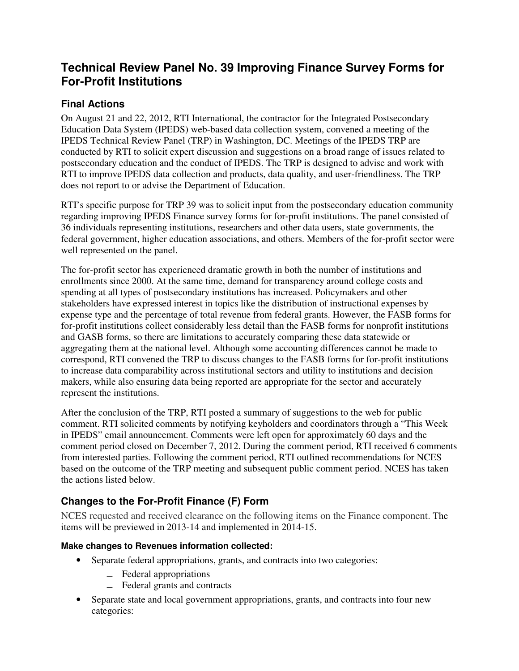# **Technical Review Panel No. 39 Improving Finance Survey Forms for For-Profit Institutions**

## **Final Actions**

On August 21 and 22, 2012, RTI International, the contractor for the Integrated Postsecondary Education Data System (IPEDS) web-based data collection system, convened a meeting of the IPEDS Technical Review Panel (TRP) in Washington, DC. Meetings of the IPEDS TRP are conducted by RTI to solicit expert discussion and suggestions on a broad range of issues related to postsecondary education and the conduct of IPEDS. The TRP is designed to advise and work with RTI to improve IPEDS data collection and products, data quality, and user-friendliness. The TRP does not report to or advise the Department of Education.

RTI's specific purpose for TRP 39 was to solicit input from the postsecondary education community regarding improving IPEDS Finance survey forms for for-profit institutions. The panel consisted of 36 individuals representing institutions, researchers and other data users, state governments, the federal government, higher education associations, and others. Members of the for-profit sector were well represented on the panel.

The for-profit sector has experienced dramatic growth in both the number of institutions and enrollments since 2000. At the same time, demand for transparency around college costs and spending at all types of postsecondary institutions has increased. Policymakers and other stakeholders have expressed interest in topics like the distribution of instructional expenses by expense type and the percentage of total revenue from federal grants. However, the FASB forms for for-profit institutions collect considerably less detail than the FASB forms for nonprofit institutions and GASB forms, so there are limitations to accurately comparing these data statewide or aggregating them at the national level. Although some accounting differences cannot be made to correspond, RTI convened the TRP to discuss changes to the FASB forms for for-profit institutions to increase data comparability across institutional sectors and utility to institutions and decision makers, while also ensuring data being reported are appropriate for the sector and accurately represent the institutions.

After the conclusion of the TRP, RTI posted a summary of suggestions to the web for public comment. RTI solicited comments by notifying keyholders and coordinators through a "This Week in IPEDS" email announcement. Comments were left open for approximately 60 days and the comment period closed on December 7, 2012. During the comment period, RTI received 6 comments from interested parties. Following the comment period, RTI outlined recommendations for NCES based on the outcome of the TRP meeting and subsequent public comment period. NCES has taken the actions listed below.

## **Changes to the For-Profit Finance (F) Form**

NCES requested and received clearance on the following items on the Finance component. The items will be previewed in 2013-14 and implemented in 2014-15.

## **Make changes to Revenues information collected:**

- Separate federal appropriations, grants, and contracts into two categories:
	- ̶ Federal appropriations
	- ̶ Federal grants and contracts
- Separate state and local government appropriations, grants, and contracts into four new categories: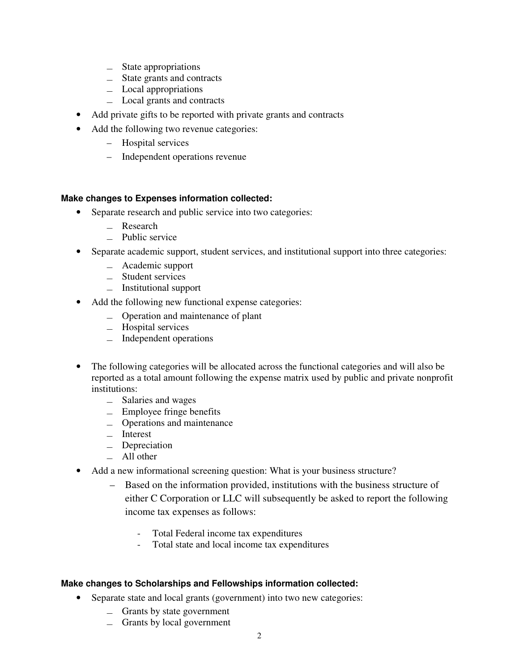- ̶ State appropriations
- ̶ State grants and contracts
- ̶ Local appropriations
- ̶ Local grants and contracts
- Add private gifts to be reported with private grants and contracts
- Add the following two revenue categories:
	- Hospital services
	- Independent operations revenue

### **Make changes to Expenses information collected:**

- Separate research and public service into two categories:
	- ̶ Research
	- ̶ Public service
- Separate academic support, student services, and institutional support into three categories:
	- ̶ Academic support
	- ̶ Student services
	- ̶ Institutional support
- Add the following new functional expense categories:
	- ̶ Operation and maintenance of plant
	- ̶ Hospital services
	- ̶ Independent operations
- The following categories will be allocated across the functional categories and will also be reported as a total amount following the expense matrix used by public and private nonprofit institutions:
	- ̶ Salaries and wages
	- $\equiv$  Employee fringe benefits
	- ̶ Operations and maintenance
	- ̶ Interest
	- ̶ Depreciation
	- $-$  All other
- Add a new informational screening question: What is your business structure?
	- Based on the information provided, institutions with the business structure of either C Corporation or LLC will subsequently be asked to report the following income tax expenses as follows:
		- Total Federal income tax expenditures
		- Total state and local income tax expenditures

### **Make changes to Scholarships and Fellowships information collected:**

- Separate state and local grants (government) into two new categories:
	- $\equiv$  Grants by state government
	- ̶ Grants by local government